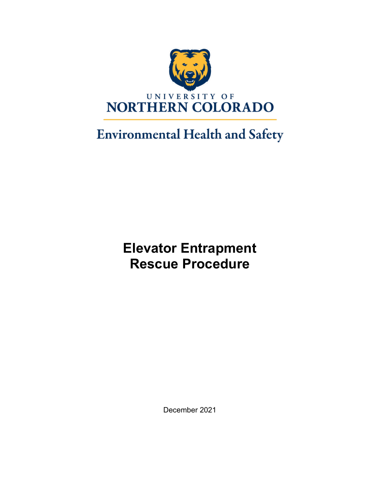

# **Environmental Health and Safety**

# **Elevator Entrapment Rescue Procedure**

December 2021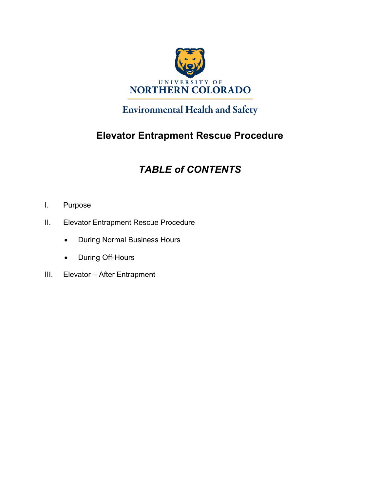

## **Environmental Health and Safety**

## **Elevator Entrapment Rescue Procedure**

# *TABLE of CONTENTS*

- I. Purpose
- II. Elevator Entrapment Rescue Procedure
	- During Normal Business Hours
	- During Off-Hours
- III. Elevator After Entrapment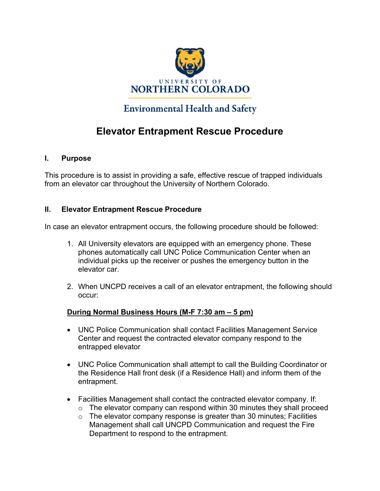

### **Environmental Health and Safety**

### **Elevator Entrapment Rescue Procedure**

### **I. Purpose**

This procedure is to assist in providing a safe, effective rescue of trapped individuals from an elevator car throughout the University of Northern Colorado.

### **II. Elevator Entrapment Rescue Procedure**

In case an elevator entrapment occurs, the following procedure should be followed:

- 1. All University elevators are equipped with an emergency phone. These phones automatically call UNC Police Communication Center when an individual picks up the receiver or pushes the emergency button in the elevator car.
- 2. When UNCPD receives a call of an elevator entrapment, the following should occur:

### **During Normal Business Hours (M-F 7:30 am – 5 pm)**

- UNC Police Communication shall contact Facilities Management Service Center and request the contracted elevator company respond to the entrapped elevator
- UNC Police Communication shall attempt to call the Building Coordinator or the Residence Hall front desk (if a Residence Hall) and inform them of the entrapment.
- Facilities Management shall contact the contracted elevator company. If:
	- $\circ$  The elevator company can respond within 30 minutes they shall proceed
	- $\circ$  The elevator company response is greater than 30 minutes; Facilities Management shall call UNCPD Communication and request the Fire Department to respond to the entrapment.